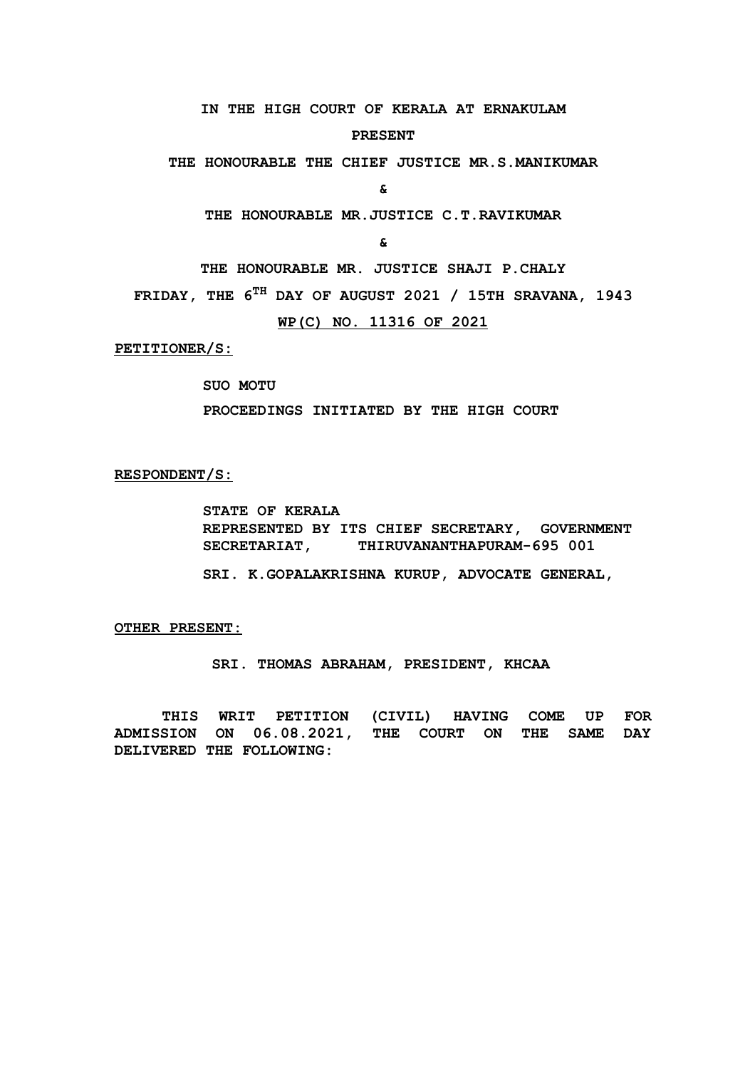**IN THE HIGH COURT OF KERALA AT ERNAKULAM**

#### **PRESENT**

**THE HONOURABLE THE CHIEF JUSTICE MR.S.MANIKUMAR**

**&**

**THE HONOURABLE MR.JUSTICE C.T.RAVIKUMAR**

**&**

**THE HONOURABLE MR. JUSTICE SHAJI P.CHALY**

**FRIDAY, THE 6TH DAY OF AUGUST 2021 / 15TH SRAVANA, 1943**

**WP(C) NO. 11316 OF 2021**

 **PETITIONER/S:**

**SUO MOTU** 

**PROCEEDINGS INITIATED BY THE HIGH COURT** 

#### **RESPONDENT/S:**

**STATE OF KERALA REPRESENTED BY ITS CHIEF SECRETARY, GOVERNMENT**  SECRETARIAT, THIRUVANANTHAPURAM-695 001

**SRI. K.GOPALAKRISHNA KURUP, ADVOCATE GENERAL,**

**OTHER PRESENT:**

 **SRI. THOMAS ABRAHAM, PRESIDENT, KHCAA**

**THIS WRIT PETITION (CIVIL) HAVING COME UP FOR ADMISSION ON 06.08.2021, THE COURT ON THE SAME DAY DELIVERED THE FOLLOWING:**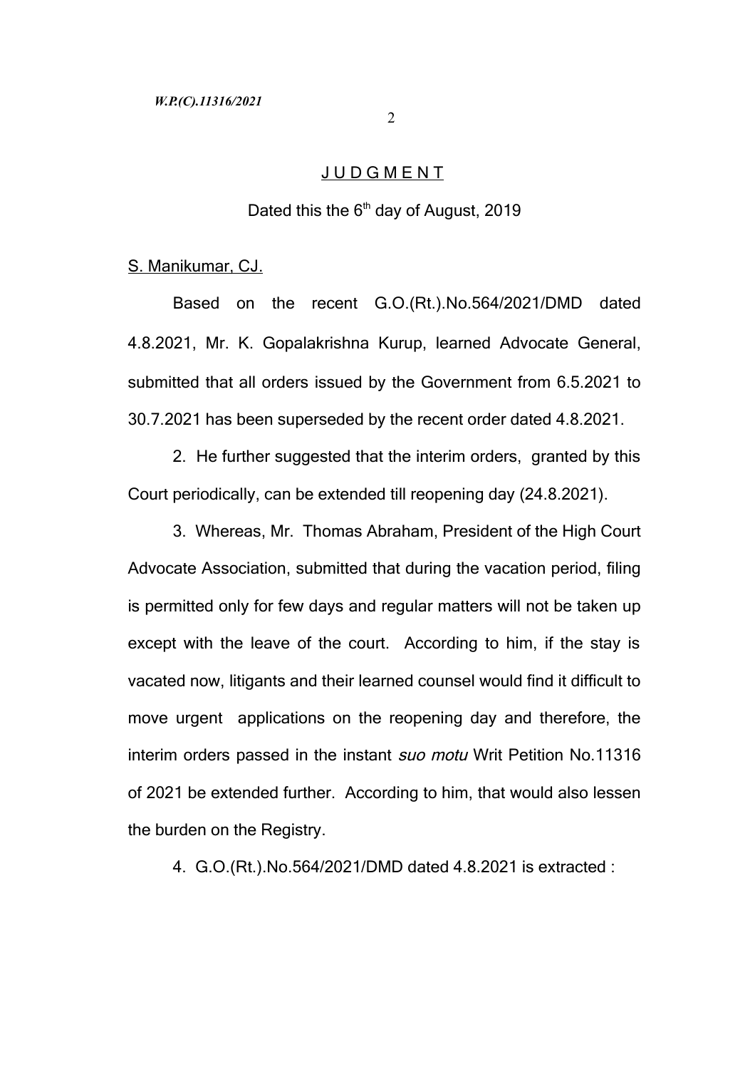# J U D G M E N T

## Dated this the  $6<sup>th</sup>$  day of August, 2019

# S. Manikumar, CJ.

Based on the recent G.O.(Rt.).No.564/2021/DMD dated 4.8.2021, Mr. K. Gopalakrishna Kurup, learned Advocate General, submitted that all orders issued by the Government from 6.5.2021 to 30.7.2021 has been superseded by the recent order dated 4.8.2021.

2. He further suggested that the interim orders, granted by this Court periodically, can be extended till reopening day (24.8.2021).

3. Whereas, Mr. Thomas Abraham, President of the High Court Advocate Association, submitted that during the vacation period, filing is permitted only for few days and regular matters will not be taken up except with the leave of the court. According to him, if the stay is vacated now, litigants and their learned counsel would find it difficult to move urgent applications on the reopening day and therefore, the interim orders passed in the instant *suo motu* Writ Petition No.11316 of 2021 be extended further. According to him, that would also lessen the burden on the Registry.

4. G.O.(Rt.).No.564/2021/DMD dated 4.8.2021 is extracted :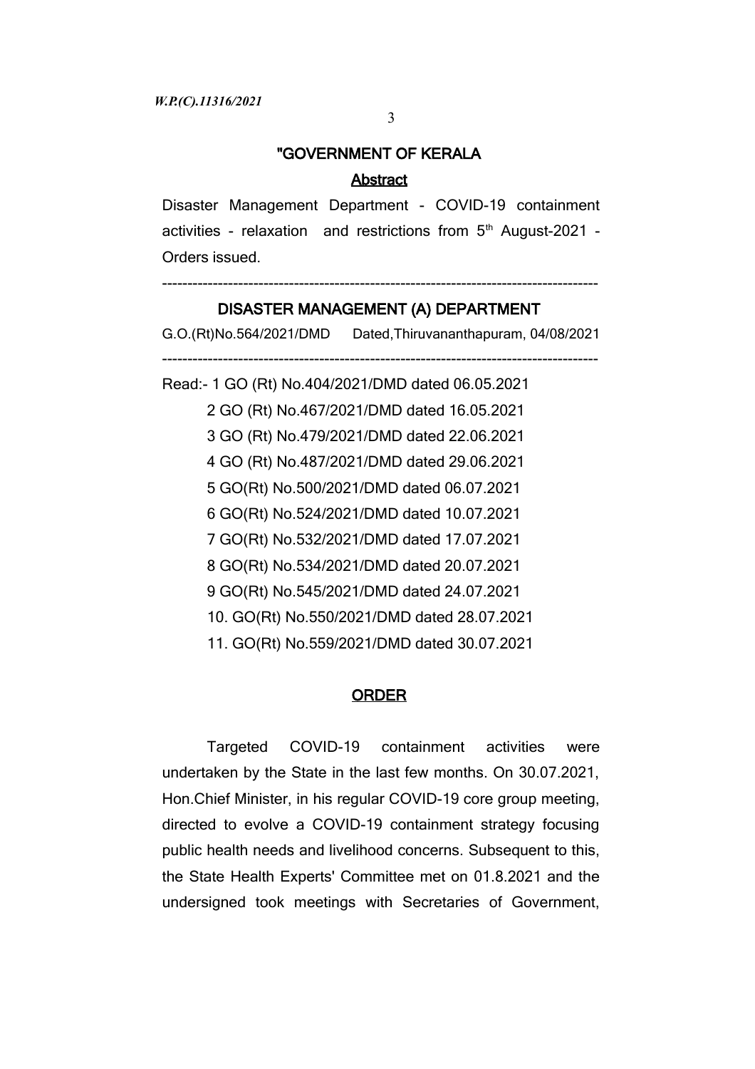# "GOVERNMENT OF KERALA

## Abstract

Disaster Management Department - COVID-19 containment activities - relaxation and restrictions from 5<sup>th</sup> August-2021 -Orders issued.

# -------------------------------------------------------------------------------------- DISASTER MANAGEMENT (A) DEPARTMENT

G.O.(Rt)No.564/2021/DMD Dated,Thiruvananthapuram, 04/08/2021

--------------------------------------------------------------------------------------

Read:- 1 GO (Rt) No.404/2021/DMD dated 06.05.2021 2 GO (Rt) No.467/2021/DMD dated 16.05.2021 3 GO (Rt) No.479/2021/DMD dated 22.06.2021 4 GO (Rt) No.487/2021/DMD dated 29.06.2021 5 GO(Rt) No.500/2021/DMD dated 06.07.2021 6 GO(Rt) No.524/2021/DMD dated 10.07.2021 7 GO(Rt) No.532/2021/DMD dated 17.07.2021 8 GO(Rt) No.534/2021/DMD dated 20.07.2021 9 GO(Rt) No.545/2021/DMD dated 24.07.2021 10. GO(Rt) No.550/2021/DMD dated 28.07.2021 11. GO(Rt) No.559/2021/DMD dated 30.07.2021

### **ORDER**

Targeted COVID-19 containment activities were undertaken by the State in the last few months. On 30.07.2021, Hon.Chief Minister, in his regular COVID-19 core group meeting, directed to evolve a COVID-19 containment strategy focusing public health needs and livelihood concerns. Subsequent to this, the State Health Experts' Committee met on 01.8.2021 and the undersigned took meetings with Secretaries of Government,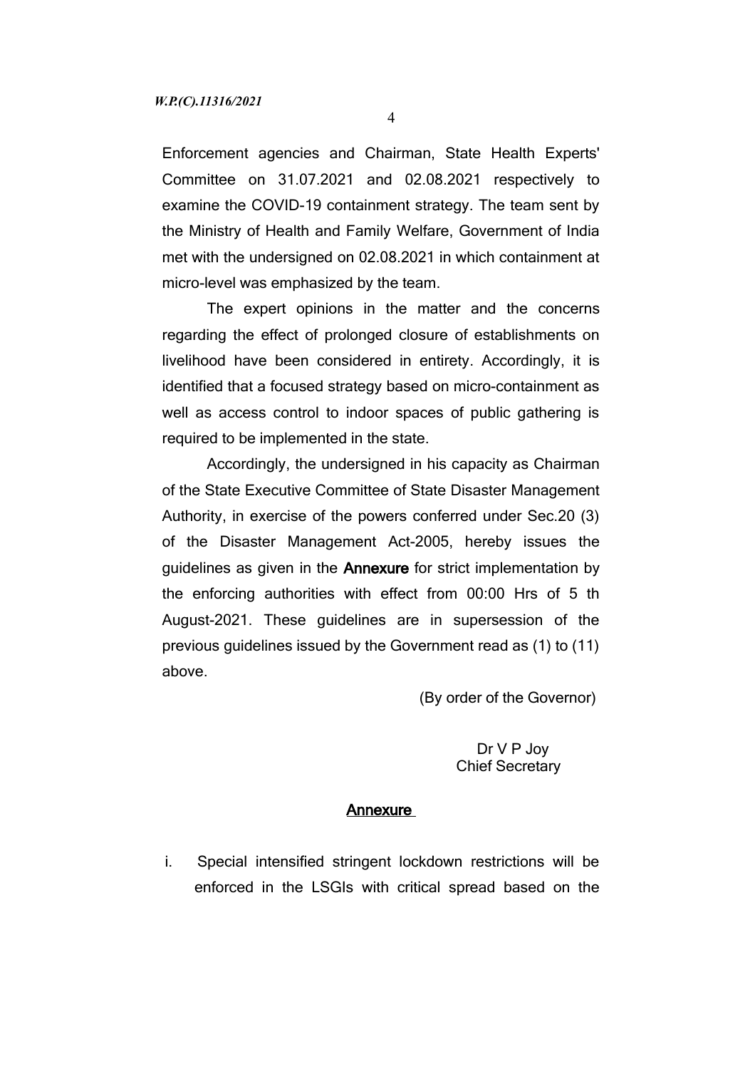Enforcement agencies and Chairman, State Health Experts' Committee on 31.07.2021 and 02.08.2021 respectively to examine the COVID-19 containment strategy. The team sent by the Ministry of Health and Family Welfare, Government of India met with the undersigned on 02.08.2021 in which containment at micro-level was emphasized by the team.

The expert opinions in the matter and the concerns regarding the effect of prolonged closure of establishments on livelihood have been considered in entirety. Accordingly, it is identified that a focused strategy based on micro-containment as well as access control to indoor spaces of public gathering is required to be implemented in the state.

Accordingly, the undersigned in his capacity as Chairman of the State Executive Committee of State Disaster Management Authority, in exercise of the powers conferred under Sec.20 (3) of the Disaster Management Act-2005, hereby issues the guidelines as given in the Annexure for strict implementation by the enforcing authorities with effect from 00:00 Hrs of 5 th August-2021. These guidelines are in supersession of the previous guidelines issued by the Government read as (1) to (11) above.

(By order of the Governor)

#### Dr V P Joy Chief Secretary

#### Annexure

i. Special intensified stringent lockdown restrictions will be enforced in the LSGIs with critical spread based on the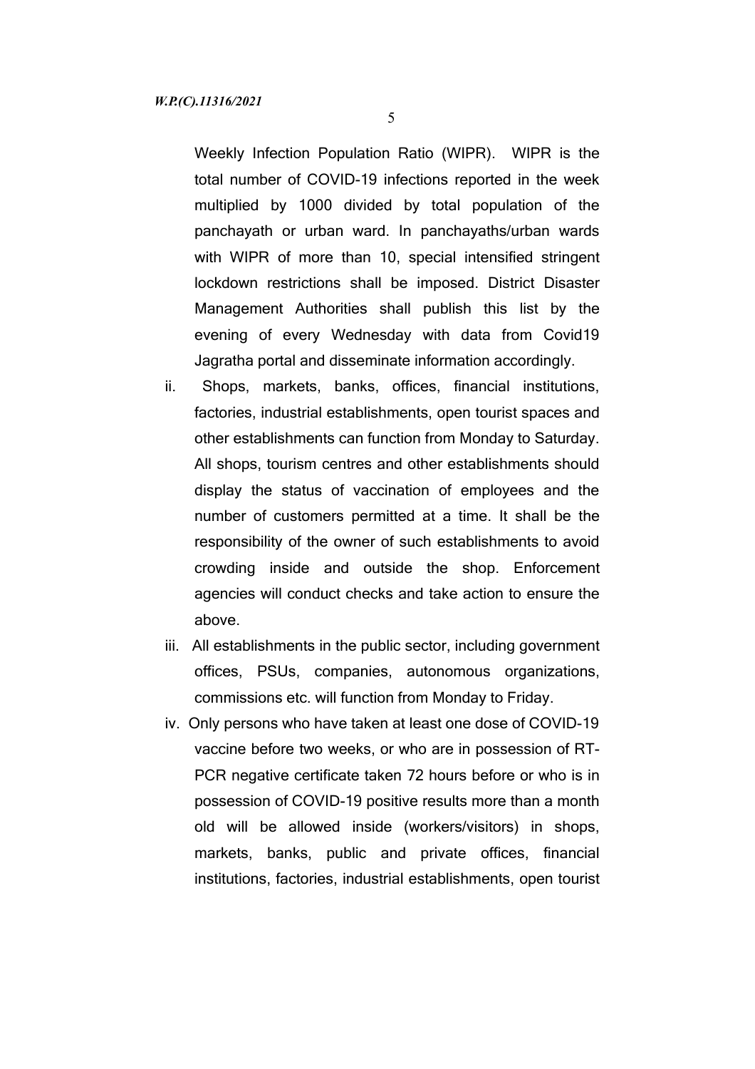5

Weekly Infection Population Ratio (WIPR). WIPR is the total number of COVID-19 infections reported in the week multiplied by 1000 divided by total population of the panchayath or urban ward. In panchayaths/urban wards with WIPR of more than 10, special intensified stringent lockdown restrictions shall be imposed. District Disaster Management Authorities shall publish this list by the evening of every Wednesday with data from Covid19 Jagratha portal and disseminate information accordingly.

- ii. Shops, markets, banks, offices, financial institutions, factories, industrial establishments, open tourist spaces and other establishments can function from Monday to Saturday. All shops, tourism centres and other establishments should display the status of vaccination of employees and the number of customers permitted at a time. It shall be the responsibility of the owner of such establishments to avoid crowding inside and outside the shop. Enforcement agencies will conduct checks and take action to ensure the above.
- iii. All establishments in the public sector, including government offices, PSUs, companies, autonomous organizations, commissions etc. will function from Monday to Friday.
- iv. Only persons who have taken at least one dose of COVID-19 vaccine before two weeks, or who are in possession of RT-PCR negative certificate taken 72 hours before or who is in possession of COVID-19 positive results more than a month old will be allowed inside (workers/visitors) in shops, markets, banks, public and private offices, financial institutions, factories, industrial establishments, open tourist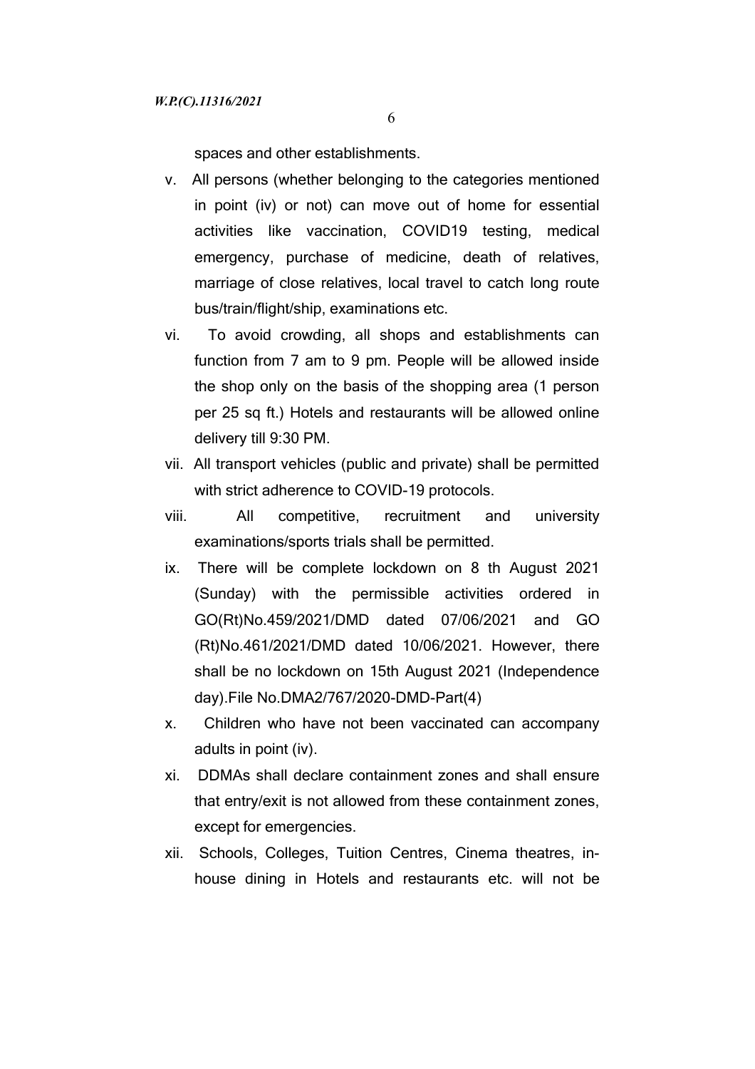spaces and other establishments.

- v. All persons (whether belonging to the categories mentioned in point (iv) or not) can move out of home for essential activities like vaccination, COVID19 testing, medical emergency, purchase of medicine, death of relatives, marriage of close relatives, local travel to catch long route bus/train/flight/ship, examinations etc.
- vi. To avoid crowding, all shops and establishments can function from 7 am to 9 pm. People will be allowed inside the shop only on the basis of the shopping area (1 person per 25 sq ft.) Hotels and restaurants will be allowed online delivery till 9:30 PM.
- vii. All transport vehicles (public and private) shall be permitted with strict adherence to COVID-19 protocols.
- viii. All competitive, recruitment and university examinations/sports trials shall be permitted.
- ix. There will be complete lockdown on 8 th August 2021 (Sunday) with the permissible activities ordered in GO(Rt)No.459/2021/DMD dated 07/06/2021 and GO (Rt)No.461/2021/DMD dated 10/06/2021. However, there shall be no lockdown on 15th August 2021 (Independence day).File No.DMA2/767/2020-DMD-Part(4)
- x. Children who have not been vaccinated can accompany adults in point (iv).
- xi. DDMAs shall declare containment zones and shall ensure that entry/exit is not allowed from these containment zones, except for emergencies.
- xii. Schools, Colleges, Tuition Centres, Cinema theatres, inhouse dining in Hotels and restaurants etc. will not be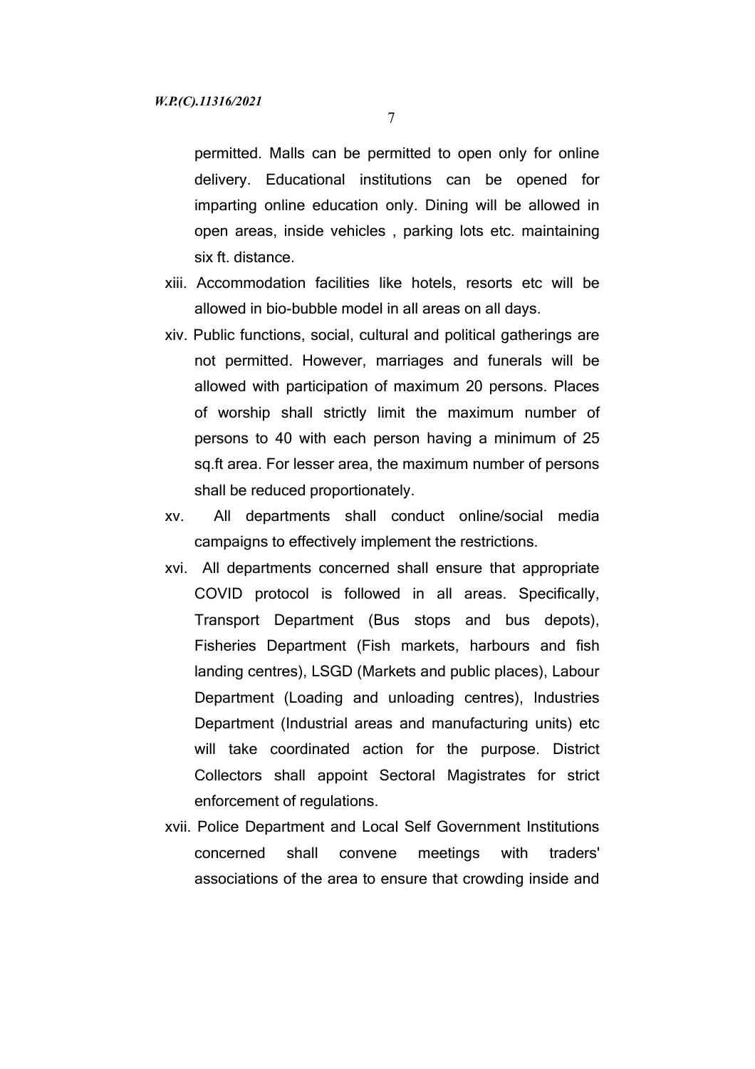permitted. Malls can be permitted to open only for online delivery. Educational institutions can be opened for imparting online education only. Dining will be allowed in open areas, inside vehicles , parking lots etc. maintaining six ft. distance.

- xiii. Accommodation facilities like hotels, resorts etc will be allowed in bio-bubble model in all areas on all days.
- xiv. Public functions, social, cultural and political gatherings are not permitted. However, marriages and funerals will be allowed with participation of maximum 20 persons. Places of worship shall strictly limit the maximum number of persons to 40 with each person having a minimum of 25 sq.ft area. For lesser area, the maximum number of persons shall be reduced proportionately.
- xv. All departments shall conduct online/social media campaigns to effectively implement the restrictions.
- xvi. All departments concerned shall ensure that appropriate COVID protocol is followed in all areas. Specifically, Transport Department (Bus stops and bus depots), Fisheries Department (Fish markets, harbours and fish landing centres), LSGD (Markets and public places), Labour Department (Loading and unloading centres), Industries Department (Industrial areas and manufacturing units) etc will take coordinated action for the purpose. District Collectors shall appoint Sectoral Magistrates for strict enforcement of regulations.
- xvii. Police Department and Local Self Government Institutions concerned shall convene meetings with traders' associations of the area to ensure that crowding inside and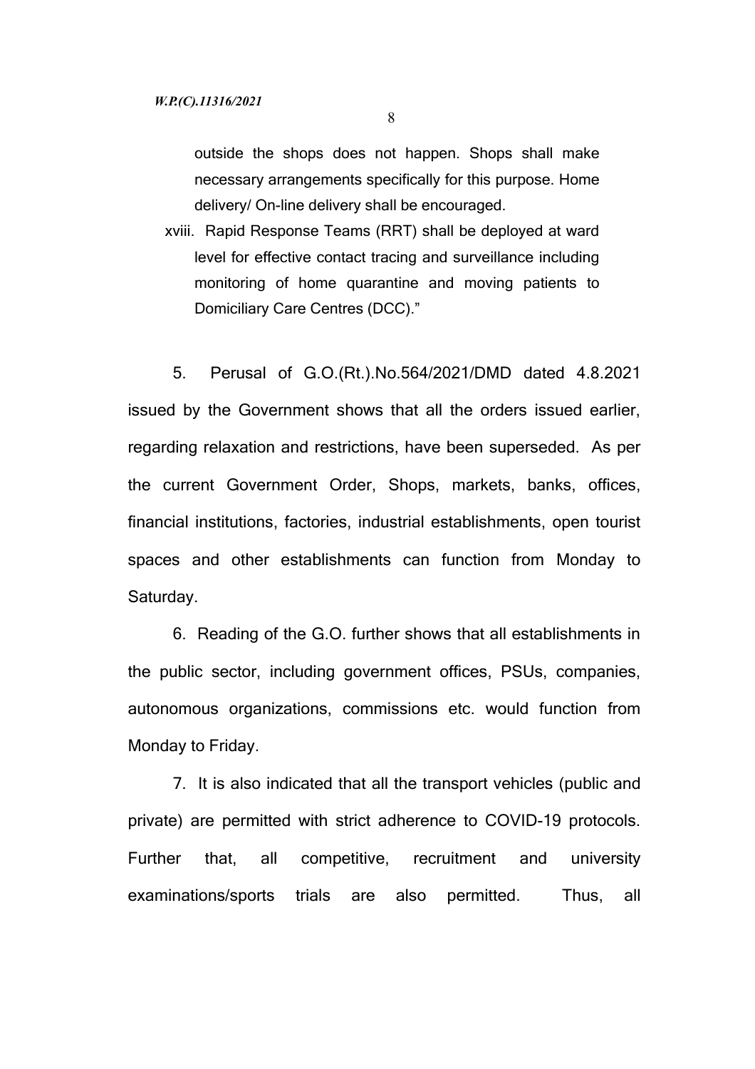outside the shops does not happen. Shops shall make necessary arrangements specifically for this purpose. Home delivery/ On-line delivery shall be encouraged.

xviii. Rapid Response Teams (RRT) shall be deployed at ward level for effective contact tracing and surveillance including monitoring of home quarantine and moving patients to Domiciliary Care Centres (DCC)."

5. Perusal of G.O.(Rt.).No.564/2021/DMD dated 4.8.2021 issued by the Government shows that all the orders issued earlier, regarding relaxation and restrictions, have been superseded. As per the current Government Order, Shops, markets, banks, offices, financial institutions, factories, industrial establishments, open tourist spaces and other establishments can function from Monday to Saturday.

6. Reading of the G.O. further shows that all establishments in the public sector, including government offices, PSUs, companies, autonomous organizations, commissions etc. would function from Monday to Friday.

7. It is also indicated that all the transport vehicles (public and private) are permitted with strict adherence to COVID-19 protocols. Further that, all competitive, recruitment and university examinations/sports trials are also permitted. Thus, all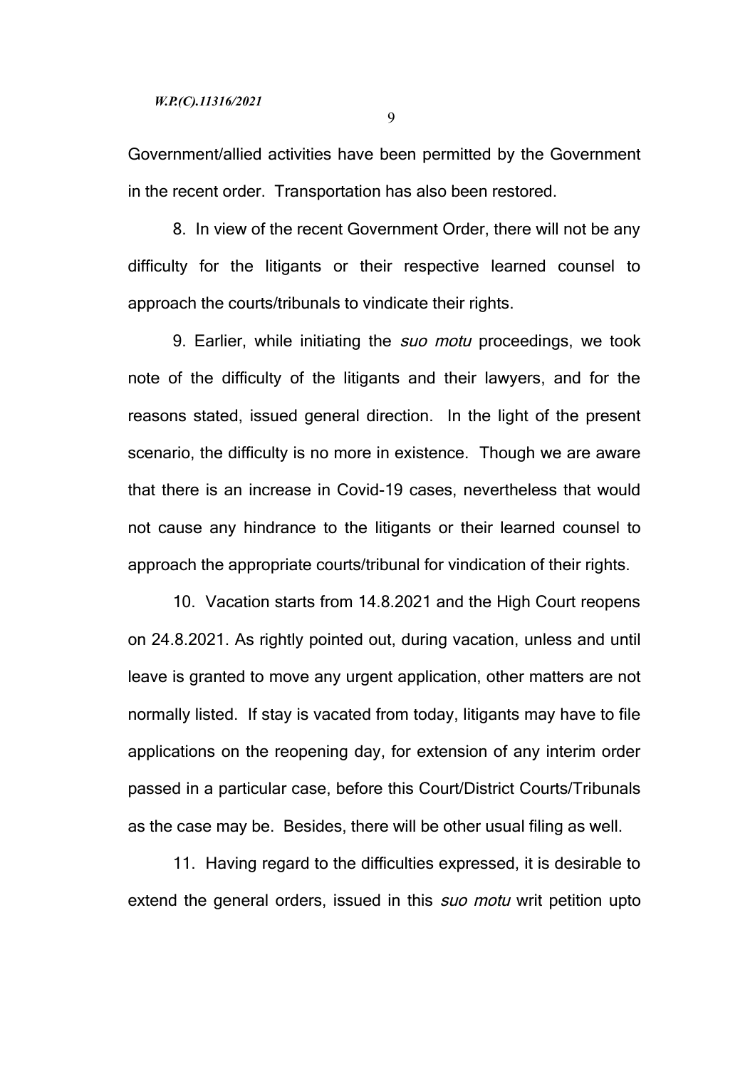9

Government/allied activities have been permitted by the Government in the recent order. Transportation has also been restored.

8. In view of the recent Government Order, there will not be any difficulty for the litigants or their respective learned counsel to approach the courts/tribunals to vindicate their rights.

9. Earlier, while initiating the *suo motu* proceedings, we took note of the difficulty of the litigants and their lawyers, and for the reasons stated, issued general direction. In the light of the present scenario, the difficulty is no more in existence. Though we are aware that there is an increase in Covid-19 cases, nevertheless that would not cause any hindrance to the litigants or their learned counsel to approach the appropriate courts/tribunal for vindication of their rights.

10. Vacation starts from 14.8.2021 and the High Court reopens on 24.8.2021. As rightly pointed out, during vacation, unless and until leave is granted to move any urgent application, other matters are not normally listed. If stay is vacated from today, litigants may have to file applications on the reopening day, for extension of any interim order passed in a particular case, before this Court/District Courts/Tribunals as the case may be. Besides, there will be other usual filing as well.

11. Having regard to the difficulties expressed, it is desirable to extend the general orders, issued in this *suo motu* writ petition upto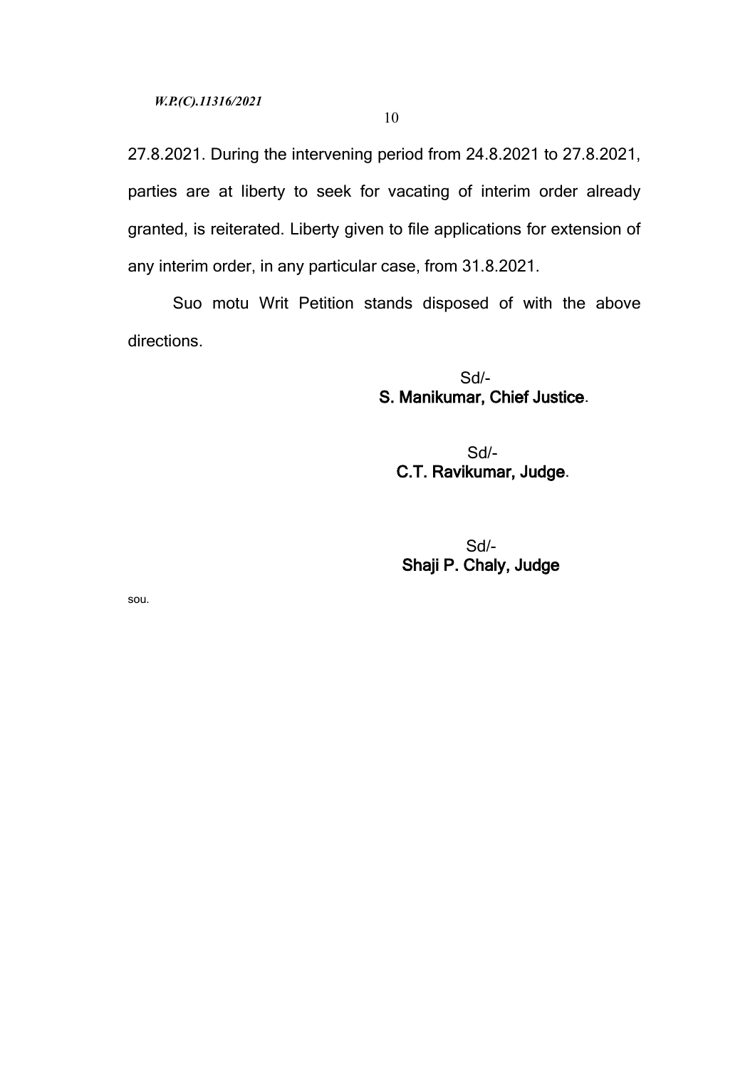27.8.2021. During the intervening period from 24.8.2021 to 27.8.2021, parties are at liberty to seek for vacating of interim order already granted, is reiterated. Liberty given to file applications for extension of any interim order, in any particular case, from 31.8.2021.

Suo motu Writ Petition stands disposed of with the above directions.

> Sd/- S. Manikumar, Chief Justice.

 Sd/- C.T. Ravikumar, Judge.

 Sd/- Shaji P. Chaly, Judge

sou.